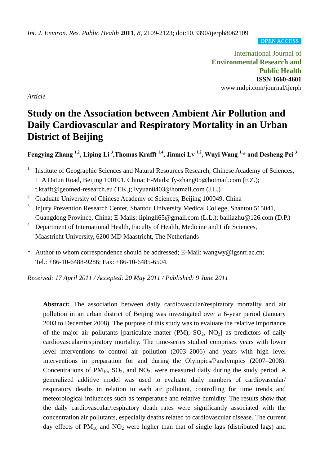**OPEN ACCESS**

International Journal of **Environmental Research and Public Health ISSN 1660-4601** www.mdpi.com/journal/ijerph

*Article*

# **Study on the Association between Ambient Air Pollution and Daily Cardiovascular and Respiratory Mortality in an Urban District of Beijing**

**Fengying Zhang 1,2, Liping Li <sup>3</sup> ,Thomas Krafft 1,4, Jinmei Lv 1,2, Wuyi Wang 1,\* and Desheng Pei <sup>3</sup>**

- 1 Institute of Geographic Sciences and Natural Resources Research, Chinese Academy of Sciences, 11A Datun Road, Beijing 100101, China; E-Mails: fy-zhang05@hotmail.com (F.Z.); t.krafft@geomed-research.eu (T.K.); lvyuan0403@hotmail.com (J.L.)
- <sup>2</sup> Graduate University of Chinese Academy of Sciences, Beijing 100049, China
- 3 Injury Prevention Research Center, Shantou University Medical College, Shantou 515041, Guangdong Province, China; E-Mails: lipingli65@gmail.com (L.L.); bailiazhu@126.com (D.P.)
- <sup>4</sup> Department of International Health, Faculty of Health, Medicine and Life Sciences, Maastricht University, 6200 MD Maastricht, The Netherlands
- \* Author to whom correspondence should be addressed; E-Mail: wangwy@igsnrr.ac.cn; Tel.: +86-10-6488-9286; Fax: +86-10-6485-6504.

*Received: 17 April 2011 / Accepted: 20 May 2011 / Published: 9 June 2011*

**Abstract:** The association between daily cardiovascular/respiratory mortality and air pollution in an urban district of Beijing was investigated over a 6-year period (January 2003 to December 2008). The purpose of this study was to evaluate the relative importance of the major air pollutants [particulate matter (PM),  $SO_2$ ,  $NO_2$ ] as predictors of daily cardiovascular/respiratory mortality. The time-series studied comprises years with lower level interventions to control air pollution (2003–2006) and years with high level interventions in preparation for and during the Olympics/Paralympics (2007–2008). Concentrations of  $PM_{10}$ ,  $SO_2$ , and  $NO_2$ , were measured daily during the study period. A generalized additive model was used to evaluate daily numbers of cardiovascular/ respiratory deaths in relation to each air pollutant, controlling for time trends and meteorological influences such as temperature and relative humidity. The results show that the daily cardiovascular/respiratory death rates were significantly associated with the concentration air pollutants, especially deaths related to cardiovascular disease. The current day effects of  $PM_{10}$  and  $NO<sub>2</sub>$  were higher than that of single lags (distributed lags) and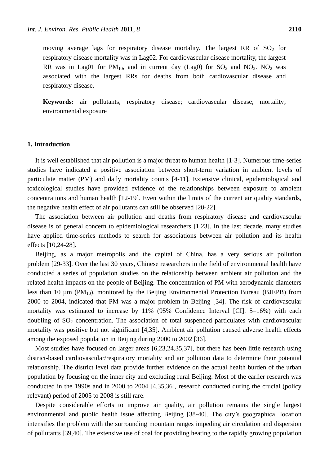moving average lags for respiratory disease mortality. The largest RR of  $SO<sub>2</sub>$  for respiratory disease mortality was in Lag02. For cardiovascular disease mortality, the largest RR was in Lag01 for  $PM_{10}$ , and in current day (Lag0) for  $SO_2$  and  $NO_2$ .  $NO_2$  was associated with the largest RRs for deaths from both cardiovascular disease and respiratory disease.

**Keywords:** air pollutants; respiratory disease; cardiovascular disease; mortality; environmental exposure

## **1. Introduction**

It is well established that air pollution is a major threat to human health [1-3]. Numerous time-series studies have indicated a positive association between short-term variation in ambient levels of particulate matter (PM) and daily mortality counts [4-11]. Extensive clinical, epidemiological and toxicological studies have provided evidence of the relationships between exposure to ambient concentrations and human health [12-19]. Even within the limits of the current air quality standards, the negative health effect of air pollutants can still be observed [20-22].

The association between air pollution and deaths from respiratory disease and cardiovascular disease is of general concern to epidemiological researchers [1,23]. In the last decade, many studies have applied time-series methods to search for associations between air pollution and its health effects [10,24-28].

Beijing, as a major metropolis and the capital of China, has a very serious air pollution problem [29-33]. Over the last 30 years, Chinese researchers in the field of environmental health have conducted a series of population studies on the relationship between ambient air pollution and the related health impacts on the people of Beijing. The concentration of PM with aerodynamic diameters less than 10  $\mu$ m (PM<sub>10</sub>), monitored by the Beijing Environmental Protection Bureau (BJEPB) from 2000 to 2004, indicated that PM was a major problem in Beijing [34]. The risk of cardiovascular mortality was estimated to increase by 11% (95% Confidence Interval [CI]: 5–16%) with each doubling of  $SO_2$  concentration. The association of total suspended particulates with cardiovascular mortality was positive but not significant [4,35]. Ambient air pollution caused adverse health effects among the exposed population in Beijing during 2000 to 2002 [36].

Most studies have focused on larger areas [6,23,24,35,37], but there has been little research using district-based cardiovascular/respiratory mortality and air pollution data to determine their potential relationship. The district level data provide further evidence on the actual health burden of the urban population by focusing on the inner city and excluding rural Beijing. Most of the earlier research was conducted in the 1990s and in 2000 to 2004 [4,35,36], research conducted during the crucial (policy relevant) period of 2005 to 2008 is still rare.

Despite considerable efforts to improve air quality, air pollution remains the single largest environmental and public health issue affecting Beijing [38-40]. The city's geographical location intensifies the problem with the surrounding mountain ranges impeding air circulation and dispersion of pollutants [39,40]. The extensive use of coal for providing heating to the rapidly growing population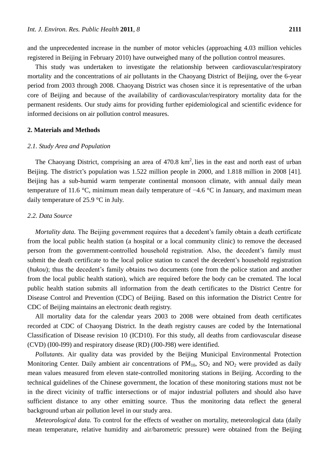and the unprecedented increase in the number of motor vehicles (approaching 4.03 million vehicles registered in Beijing in February 2010) have outweighed many of the pollution control measures.

This study was undertaken to investigate the relationship between cardiovascular/respiratory mortality and the concentrations of air pollutants in the Chaoyang District of Beijing, over the 6-year period from 2003 through 2008. Chaoyang District was chosen since it is representative of the urban core of Beijing and because of the availability of cardiovascular/respiratory mortality data for the permanent residents. Our study aims for providing further epidemiological and scientific evidence for informed decisions on air pollution control measures.

#### **2. Materials and Methods**

#### *2.1. Study Area and Population*

The Chaoyang District, comprising an area of  $470.8 \text{ km}^2$ , lies in the east and north east of urban Beijing. The district's population was 1.522 million people in 2000, and 1.818 million in 2008 [41]. Beijing has a sub-humid warm temperate continental monsoon climate, with annual daily mean temperature of 11.6 °C, minimum mean daily temperature of  $-4.6$  °C in January, and maximum mean daily temperature of 25.9  $\degree$ C in July.

## *2.2. Data Source*

*Mortality data.* The Beijing government requires that a decedent's family obtain a death certificate from the local public health station (a hospital or a local community clinic) to remove the deceased person from the government-controlled household registration. Also, the decedent's family must submit the death certificate to the local police station to cancel the decedent's household registration (*hukou*); thus the decedent's family obtains two documents (one from the police station and another from the local public health station), which are required before the body can be cremated. The local public health station submits all information from the death certificates to the District Centre for Disease Control and Prevention (CDC) of Beijing. Based on this information the District Centre for CDC of Beijing maintains an electronic death registry.

All mortality data for the calendar years 2003 to 2008 were obtained from death certificates recorded at CDC of Chaoyang District. In the death registry causes are coded by the International Classification of Disease revision 10 (ICD10). For this study, all deaths from cardiovascular disease (CVD) (I00-I99) and respiratory disease (RD) (J00-J98) were identified.

*Pollutants.* Air quality data was provided by the Beijing Municipal Environmental Protection Monitoring Center. Daily ambient air concentrations of  $PM_{10}$ ,  $SO_2$  and  $NO_2$  were provided as daily mean values measured from eleven state-controlled monitoring stations in Beijing. According to the technical guidelines of the Chinese government, the location of these monitoring stations must not be in the direct vicinity of traffic intersections or of major industrial polluters and should also have sufficient distance to any other emitting source. Thus the monitoring data reflect the general background urban air pollution level in our study area.

*Meteorological data.* To control for the effects of weather on mortality, meteorological data (daily mean temperature, relative humidity and air/barometric pressure) were obtained from the Beijing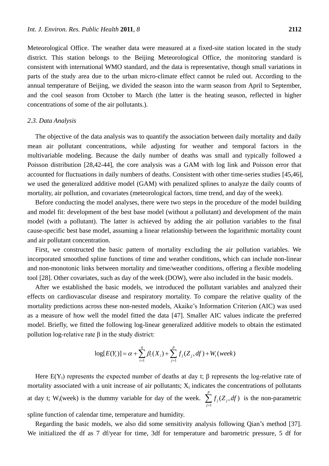Meteorological Office. The weather data were measured at a fixed-site station located in the study district. This station belongs to the Beijing Meteorological Office, the monitoring standard is consistent with international WMO standard, and the data is representative, though small variations in parts of the study area due to the urban micro-climate effect cannot be ruled out. According to the annual temperature of Beijing, we divided the season into the warm season from April to September, and the cool season from October to March (the latter is the heating season, reflected in higher concentrations of some of the air pollutants.).

#### *2.3. Data Analysis*

The objective of the data analysis was to quantify the association between daily mortality and daily mean air pollutant concentrations, while adjusting for weather and temporal factors in the multivariable modeling. Because the daily number of deaths was small and typically followed a Poisson distribution [28,42-44], the core analysis was a GAM with log link and Poisson error that accounted for fluctuations in daily numbers of deaths. Consistent with other time-series studies [45,46], we used the generalized additive model (GAM) with penalized splines to analyze the daily counts of mortality, air pollution, and covariates (meteorological factors, time trend, and day of the week).

Before conducting the model analyses, there were two steps in the procedure of the model building and model fit: development of the best base model (without a pollutant) and development of the main model (with a pollutant). The latter is achieved by adding the air pollution variables to the final cause-specific best base model, assuming a linear relationship between the logarithmic mortality count and air pollutant concentration.

First, we constructed the basic pattern of mortality excluding the air pollution variables. We incorporated smoothed spline functions of time and weather conditions, which can include non-linear and non-monotonic links between mortality and time/weather conditions, offering a flexible modeling tool [28]. Other covariates, such as day of the week (DOW), were also included in the basic models.

After we established the basic models, we introduced the pollutant variables and analyzed their effects on cardiovascular disease and respiratory mortality. To compare the relative quality of the mortality predictions across these non-nested models, Akaike's Information Criterion (AIC) was used as a measure of how well the model fitted the data [47]. Smaller AIC values indicate the preferred model. Briefly, we fitted the following log-linear generalized additive models to obtain the estimated pollution log-relative rate β in the study district:

e 
$$
\beta
$$
 in the study district:  
\n
$$
\log[E(Y_t)] = \alpha + \sum_{i=1}^{q} \beta_i(X_i) + \sum_{j=1}^{p} f_j(Z_j, df) + W_t (week)
$$

Here  $E(Y_t)$  represents the expected number of deaths at day t;  $\beta$  represents the log-relative rate of mortality associated with a unit increase of air pollutants;  $X_i$  indicates the concentrations of pollutants at day t;  $W_t$ (week) is the dummy variable for day of the week. 1  $(Z_i, df)$ *p j j j*  $f_i(Z_i, dt)$  $\sum_{j=1}^{n} f_j(Z_j, df)$  is the non-parametric spline function of calendar time, temperature and humidity.

Regarding the basic models, we also did some sensitivity analysis following Qian's method [37]. We initialized the df as 7 df/year for time, 3df for temperature and barometric pressure, 5 df for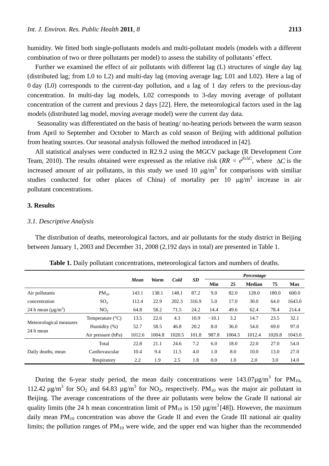humidity. We fitted both single-pollutants models and multi-pollutant models (models with a different combination of two or three pollutants per model) to assess the stability of pollutants' effect.

Further we examined the effect of air pollutants with different lag (L) structures of single day lag (distributed lag; from L0 to L2) and multi-day lag (moving average lag; L01 and L02). Here a lag of 0 day (L0) corresponds to the current-day pollution, and a lag of 1 day refers to the previous-day concentration. In multi-day lag models, L02 corresponds to 3-day moving average of pollutant concentration of the current and previous 2 days [22]. Here, the meteorological factors used in the lag models (distributed lag model, moving average model) were the current day data.

Seasonality was differentiated on the basis of heating/ no-heating periods between the warm season from April to September and October to March as cold season of Beijing with additional pollution from heating sources. Our seasonal analysis followed the method introduced in [42].

All statistical analyses were conducted in R2.9.2 using the MGCV package (R Development Core Team, 2010). The results obtained were expressed as the relative risk ( $RR = e^{\beta x \Delta C}$ , where  $\Delta C$  is the increased amount of air pollutants, in this study we used 10  $\mu$ g/m<sup>3</sup> for comparisons with similiar studies conducted for other places of China) of mortality per 10  $\mu$ g/m<sup>3</sup> increase in air pollutant concentrations.

## **3. Results**

## *3.1. Descriptive Analysis*

The distribution of deaths, meteorological factors, and air pollutants for the study district in Beijing between January 1, 2003 and December 31, 2008 (2,192 days in total) are presented in Table 1.

|                         |                          |        |        |        |       | Percentage |        |               |        |            |
|-------------------------|--------------------------|--------|--------|--------|-------|------------|--------|---------------|--------|------------|
|                         |                          | Mean   | Warm   | Cold   | SD    | Min        | 25     | <b>Median</b> | 75     | <b>Max</b> |
| Air pollutants          | $PM_{10}$                | 143.1  | 138.1  | 148.1  | 87.2  | 9.0        | 82.0   | 128.0         | 180.0  | 600.0      |
| concentration           | SO <sub>2</sub>          | 112.4  | 22.9   | 202.3  | 316.9 | 5.0        | 17.0   | 30.0          | 64.0   | 1643.0     |
| 24 h mean $(\mu g/m^3)$ | NO <sub>2</sub>          | 64.8   | 58.2   | 71.5   | 24.2  | 14.4       | 49.6   | 62.4          | 78.4   | 214.4      |
|                         | Temperature $({\cal C})$ | 13.5   | 22.6   | 4.3    | 10.9  | $-10.1$    | 3.2    | 14.7          | 23.5   | 32.1       |
| Meteorological measures | Humidity (%)             | 52.7   | 58.5   | 46.8   | 20.2  | 8.0        | 36.0   | 54.0          | 69.0   | 97.0       |
| 24 h mean               | Air pressure (hPa)       | 1012.6 | 1004.8 | 1020.5 | 101.8 | 987.8      | 1004.5 | 1012.4        | 1020.8 | 1043.0     |
|                         | Total                    | 22.8   | 21.1   | 24.6   | 7.2   | 6.0        | 18.0   | 22.0          | 27.0   | 54.0       |
| Daily deaths, mean      | Cardiovascular           | 10.4   | 9.4    | 11.5   | 4.0   | 1.0        | 8.0    | 10.0          | 13.0   | 27.0       |
|                         | Respiratory              | 2.2    | 1.9    | 2.5    | 1.8   | 0.0        | 1.0    | 2.0           | 3.0    | 14.0       |

**Table 1.** Daily pollutant concentrations, meteorological factors and numbers of deaths.

During the 6-year study period, the mean daily concentrations were  $143.07 \mu\text{g/m}^3$  for PM<sub>10</sub>, 112.42  $\mu$ g/m<sup>3</sup> for SO<sub>2</sub> and 64.83  $\mu$ g/m<sup>3</sup> for NO<sub>2</sub>, respectively. PM<sub>10</sub> was the major air pollutant in Beijing. The average concentrations of the three air pollutants were below the Grade II national air quality limits (the 24 h mean concentration limit of  $PM_{10}$  is 150  $\mu g/m^3$  [48]). However, the maximum daily mean  $PM_{10}$  concentration was above the Grade II and even the Grade III national air quality limits; the pollution ranges of  $PM_{10}$  were wide, and the upper end was higher than the recommended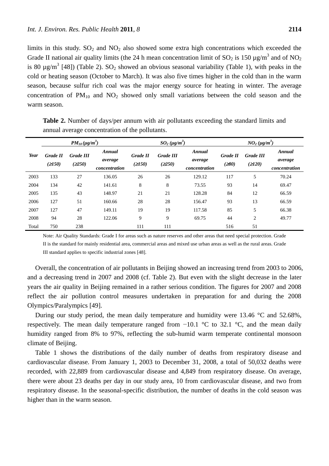season, because sulfur rich coal was the major energy source for heating in winter. The average concentration of  $PM_{10}$  and  $NO_2$  showed only small variations between the cold season and the warm season.

|       |                    | $PM_{10}(\mu\text{g/m}^3)$ |                                    |                           | $SO_2(\mu g/m^3)$         |                                    | $NO_2 (\mu g/m^3)$        |                                 |                                    |  |
|-------|--------------------|----------------------------|------------------------------------|---------------------------|---------------------------|------------------------------------|---------------------------|---------------------------------|------------------------------------|--|
| Year  | Grade II<br>(2150) | <b>Grade III</b><br>(250)  | Annual<br>average<br>concentration | <b>Grade II</b><br>(2150) | <b>Grade III</b><br>(250) | Annual<br>average<br>concentration | <b>Grade II</b><br>(≥ 80) | <b>Grade III</b><br>$(\geq120)$ | Annual<br>average<br>concentration |  |
| 2003  | 133                | 27                         | 136.05                             | 26                        | 26                        | 129.12                             | 117                       | 5                               | 70.24                              |  |
| 2004  | 134                | 42                         | 141.61                             | 8                         | 8                         | 73.55                              | 93                        | 14                              | 69.47                              |  |
| 2005  | 135                | 43                         | 148.97                             | 21                        | 21                        | 128.28                             | 84                        | 12                              | 66.59                              |  |
| 2006  | 127                | 51                         | 160.66                             | 28                        | 28                        | 156.47                             | 93                        | 13                              | 66.59                              |  |
| 2007  | 127                | 47                         | 149.11                             | 19                        | 19                        | 117.58                             | 85                        | 5                               | 66.38                              |  |
| 2008  | 94                 | 28                         | 122.06                             | 9                         | 9                         | 69.75                              | 44                        | 2                               | 49.77                              |  |
| Total | 750                | 238                        |                                    | 111                       | 111                       |                                    | 516                       | 51                              |                                    |  |

**Table 2.** Number of days/per annum with air pollutants exceeding the standard limits and annual average concentration of the pollutants.

Note: Air Quality Standards: Grade I for areas such as nature reserves and other areas that need special protection. Grade II is the standard for mainly residential area, commercial areas and mixed use urban areas as well as the rural areas. Grade III standard applies to specific industrial zones [48].

Overall, the concentration of air pollutants in Beijing showed an increasing trend from 2003 to 2006, and a decreasing trend in 2007 and 2008 (cf. Table 2). But even with the slight decrease in the later years the air quality in Beijing remained in a rather serious condition. The figures for 2007 and 2008 reflect the air pollution control measures undertaken in preparation for and during the 2008 Olympics/Paralympics [49].

During our study period, the mean daily temperature and humidity were 13.46  $\degree$ C and 52.68%, respectively. The mean daily temperature ranged from  $-10.1$  °C to 32.1 °C, and the mean daily humidity ranged from 8% to 97%, reflecting the sub-humid warm temperate continental monsoon climate of Beijing.

Table 1 shows the distributions of the daily number of deaths from respiratory disease and cardiovascular disease. From January 1, 2003 to December 31, 2008, a total of 50,032 deaths were recorded, with 22,889 from cardiovascular disease and 4,849 from respiratory disease. On average, there were about 23 deaths per day in our study area, 10 from cardiovascular disease, and two from respiratory disease. In the seasonal-specific distribution, the number of deaths in the cold season was higher than in the warm season.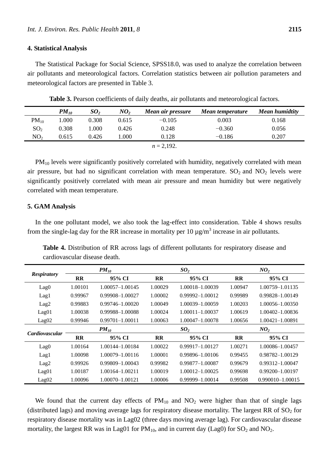#### **4. Statistical Analysis**

The Statistical Package for Social Science, SPSS18.0, was used to analyze the correlation between air pollutants and meteorological factors. Correlation statistics between air pollution parameters and meteorological factors are presented in Table 3.

|                 | $PM_{10}$ | SO <sub>2</sub> | NO <sub>2</sub> | Mean air pressure | Mean temperature | <b>Mean humidtity</b> |
|-----------------|-----------|-----------------|-----------------|-------------------|------------------|-----------------------|
| $PM_{10}$       | 1.000     | 0.308           | 0.615           | $-0.105$          | 0.003            | 0.168                 |
| SO <sub>2</sub> | 0.308     | 1.000           | 0.426           | 0.248             | $-0.360$         | 0.056                 |
| NO <sub>2</sub> | 0.615     | 0.426           | l.000           | 0.128             | $-0.186$         | 0.207                 |
|                 |           |                 |                 | $n = 2.192$ .     |                  |                       |

**Table 3.** Pearson coefficients of daily deaths, air pollutants and meteorological factors.

PM<sub>10</sub> levels were significantly positively correlated with humidity, negatively correlated with mean air pressure, but had no significant correlation with mean temperature.  $SO_2$  and  $NO_2$  levels were significantly positively correlated with mean air pressure and mean humidity but were negatively correlated with mean temperature.

#### **5. GAM Analysis**

In the one pollutant model, we also took the lag-effect into consideration. Table 4 shows results from the single-lag day for the RR increase in mortality per 10  $\mu$ g/m<sup>3</sup> increase in air pollutants.

**Table 4.** Distribution of RR across lags of different pollutants for respiratory disease and cardiovascular disease death.

| <b>Respiratory</b>    |              | $PM_{10}$           |              | SO <sub>2</sub>     | NO <sub>2</sub> |                     |  |
|-----------------------|--------------|---------------------|--------------|---------------------|-----------------|---------------------|--|
|                       | $\bf RR$     | 95% CI              | <b>RR</b>    | 95% CI              | <b>RR</b>       | 95% CI              |  |
| Lag0                  | 1.00101      | 1.00057-1.00145     | 1.00029      | 1.00018-1.00039     | 1.00947         | 1.00759-1.01135     |  |
| Lag1                  | 0.99967      | 0.99908-1.00027     | 1.00002      | $0.99992 - 1.00012$ | 0.99989         | 0.99828-1.00149     |  |
| Lag2                  | 0.99883      | $0.99746 - 1.00020$ | 1.00049      | 1.00039-1.00059     | 1.00203         | 1.00056-1.00350     |  |
| Lag01                 | 1.00038      | 0.99988-1.00088     | 1.00024      | $1.00011 - 1.00037$ | 1.00619         | 1.00402-1.00836     |  |
| Lag02                 | 0.99946      | $0.99701 - 1.00011$ | 1.00063      | 1.00047-1.00078     | 1.00656         | 1.00421-1.00891     |  |
|                       |              | $PM_{10}$           |              | SO <sub>2</sub>     | NO <sub>2</sub> |                     |  |
| <b>Cardiovascular</b> | $\mathbf{R}$ | 95% CI              | $\mathbf{R}$ | 95% CI              | $\mathbf{R}$    | 95% CI              |  |
| Lag0                  | 1.00164      | 1.00144-1.00184     | 1.00022      | $0.99917 - 1.00127$ | 1.00271         | 1.00086-1.00457     |  |
| Lag1                  | 1.00098      | 1.00079-1.00116     | 1.00001      | 0.99896-1.00106     | 0.99455         | 0.98782-1.00129     |  |
| Lag2                  | 0.99926      | 0.99809-1.00043     | 0.99982      | 0.99877-1.00087     | 0.99679         | $0.99312 - 1.00047$ |  |
| Lag01                 | 1.00187      | 1.00164-1.00211     | 1.00019      | 1.00012-1.00025     | 0.99698         | $0.99200 - 1.00197$ |  |
| Lag02                 | 1.00096      | 1.00070-1.00121     | 1.00006      | 0.99999-1.00014     | 0.99508         | 0.990010-1.00015    |  |

We found that the current day effects of  $PM_{10}$  and  $NO<sub>2</sub>$  were higher than that of single lags (distributed lags) and moving average lags for respiratory disease mortality. The largest RR of  $SO<sub>2</sub>$  for respiratory disease mortality was in Lag02 (three days moving average lag). For cardiovascular disease mortality, the largest RR was in Lag01 for  $PM_{10}$ , and in current day (Lag0) for  $SO_2$  and  $NO_2$ .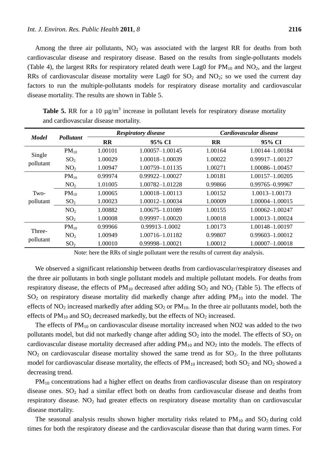Among the three air pollutants,  $NO<sub>2</sub>$  was associated with the largest RR for deaths from both cardiovascular disease and respiratory disease. Based on the results from single-pollutants models (Table 4), the largest RRs for respiratory related death were Lag0 for  $PM_{10}$  and  $NO_2$ , and the largest RRs of cardiovascular disease mortality were Lag0 for  $SO<sub>2</sub>$  and  $NO<sub>2</sub>$ ; so we used the current day factors to run the multiple-pollutants models for respiratory disease mortality and cardiovascular disease mortality. The results are shown in Table 5.

|              | Pollutant       |           | <b>Respiratory disease</b> | Cardiovascular disease |                     |  |  |
|--------------|-----------------|-----------|----------------------------|------------------------|---------------------|--|--|
| <b>Model</b> |                 | <b>RR</b> | 95% CI                     | <b>RR</b>              | 95% CI              |  |  |
|              | $PM_{10}$       | 1.00101   | $1.00057 - 1.00145$        | 1.00164                | 1.00144-1.00184     |  |  |
| Single       | SO <sub>2</sub> | 1.00029   | 1.00018-1.00039            | 1.00022                | 0.99917-1.00127     |  |  |
| pollutant    | NO <sub>2</sub> | 1.00947   | 1.00759-1.01135            | 1.00271                | 1.00086-1.00457     |  |  |
|              | $PM_{10}$       | 0.99974   | $0.99922 - 1.00027$        | 1.00181                | 1.00157-1.00205     |  |  |
|              | NO <sub>2</sub> | 1.01005   | 1.00782-1.01228            | 0.99866                | 0.99765-0.99967     |  |  |
| Two-         | $PM_{10}$       | 1.00065   | 1.00018-1.00113            | 1.00152                | 1.0013-1.00173      |  |  |
| pollutant    | SO <sub>2</sub> | 1.00023   | 1.00012-1.00034            | 1.00009                | 1.00004-1.00015     |  |  |
|              | NO <sub>2</sub> | 1.00882   | 1.00675-1.01089            | 1.00155                | 1.00062-1.00247     |  |  |
|              | SO <sub>2</sub> | 1.00008   | 0.99997-1.00020            | 1.00018                | 1.00013-1.00024     |  |  |
|              | $PM_{10}$       | 0.99966   | $0.99913 - 1.0002$         | 1.00173                | 1.00148-1.00197     |  |  |
| Three-       | NO <sub>2</sub> | 1.00949   | 1.00716-1.01182            | 0.99807                | $0.99603 - 1.00012$ |  |  |
| pollutant    | SO <sub>2</sub> | 1.00010   | 0.99998-1.00021            | 1.00012                | 1.00007-1.00018     |  |  |

**Table 5.** RR for a 10  $\mu$ g/m<sup>3</sup> increase in pollutant levels for respiratory disease mortality and cardiovascular disease mortality.

Note: here the RRs of single pollutant were the results of current day analysis.

We observed a significant relationship between deaths from cardiovascular/respiratory diseases and the three air pollutants in both single pollutant models and multiple pollutant models. For deaths from respiratory disease, the effects of  $PM_{10}$  decreased after adding  $SO_2$  and  $NO_2$  (Table 5). The effects of  $SO<sub>2</sub>$  on respiratory disease mortality did markedly change after adding  $PM<sub>10</sub>$  into the model. The effects of NO<sub>2</sub> increased markedly after adding  $SO_2$  or  $PM_{10}$ . In the three air pollutants model, both the effects of  $PM_{10}$  and  $SO_2$  decreased markedly, but the effects of  $NO_2$  increased.

The effects of  $PM_{10}$  on cardiovascular disease mortality increased when NO2 was added to the two pollutants model, but did not markedly change after adding  $SO_2$  into the model. The effects of  $SO_2$  on cardiovascular disease mortality decreased after adding  $PM_{10}$  and  $NO<sub>2</sub>$  into the models. The effects of  $NO<sub>2</sub>$  on cardiovascular disease mortality showed the same trend as for  $SO<sub>2</sub>$ . In the three pollutants model for cardiovascular disease mortality, the effects of  $PM_{10}$  increased; both  $SO_2$  and  $NO_2$  showed a decreasing trend.

 $PM_{10}$  concentrations had a higher effect on deaths from cardiovascular disease than on respiratory disease ones.  $SO_2$  had a similar effect both on deaths from cardiovascular disease and deaths from respiratory disease. NO<sub>2</sub> had greater effects on respiratory disease mortality than on cardiovascular disease mortality.

The seasonal analysis results shown higher mortality risks related to  $PM_{10}$  and  $SO_2$  during cold times for both the respiratory disease and the cardiovascular disease than that during warm times. For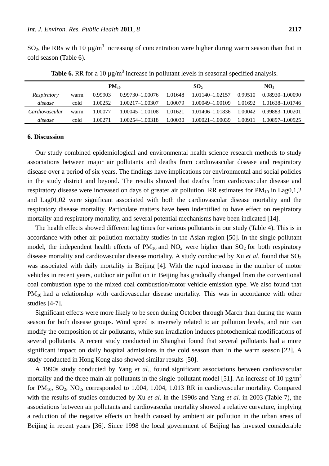$SO_2$ , the RRs with 10  $\mu$ g/m<sup>3</sup> increasing of concentration were higher during warm season than that in cold season (Table 6).

|                |      | $PM_{10}$ |                     |         | SO <sub>2</sub>     | NO <sub>2</sub> |                 |  |
|----------------|------|-----------|---------------------|---------|---------------------|-----------------|-----------------|--|
| Respiratory    | warm | 0.99903   | $0.99730 - 1.00076$ | 1.01648 | $1.01140 - 1.02157$ | 0.99510         | 0.98930-1.00090 |  |
| disease        | cold | 1.00252   | 1.00217-1.00307     | 1.00079 | 1.00049-1.00109     | 1.01692         | 1.01638–1.01746 |  |
| Cardiovascular | warm | 1.00077   | 1.00045-1.00108     | 1.01621 | 1.01406-1.01836     | 1.00042         | 0.99883-1.00201 |  |
| disease        | cold | 1.00271   | 1.00254-1.00318     | 1.00030 | $1.00021 - 1.00039$ | 1.00911         | 1.00897-1.00925 |  |

**Table 6.** RR for a 10  $\mu$ g/m<sup>3</sup> increase in pollutant levels in seasonal specified analysis.

#### **6. Discussion**

Our study combined epidemiological and environmental health science research methods to study associations between major air pollutants and deaths from cardiovascular disease and respiratory disease over a period of six years. The findings have implications for environmental and social policies in the study district and beyond. The results showed that deaths from cardiovascular disease and respiratory disease were increased on days of greater air pollution. RR estimates for  $PM_{10}$  in Lag0,1,2 and Lag01,02 were significant associated with both the cardiovascular disease mortality and the respiratory disease mortality. Particulate matters have been indentified to have effect on respiratory mortality and respiratory mortality, and several potential mechanisms have been indicated [14].

The health effects showed different lag times for various pollutants in our study (Table 4). This is in accordance with other air pollution mortality studies in the Asian region [50]. In the single pollutant model, the independent health effects of  $PM_{10}$  and  $NO_2$  were higher than  $SO_2$  for both respiratory disease mortality and cardiovascular disease mortality. A study conducted by Xu *et al.* found that  $SO_2$ was associated with daily mortality in Beijing [4]. With the rapid increase in the number of motor vehicles in recent years, outdoor air pollution in Beijing has gradually changed from the conventional coal combustion type to the mixed coal combustion/motor vehicle emission type. We also found that  $PM_{10}$  had a relationship with cardiovascular disease mortality. This was in accordance with other studies [4-7].

Significant effects were more likely to be seen during October through March than during the warm season for both disease groups. Wind speed is inversely related to air pollution levels, and rain can modify the composition of air pollutants, while sun irradiation induces photochemical modifications of several pollutants. A recent study conducted in Shanghai found that several pollutants had a more significant impact on daily hospital admissions in the cold season than in the warm season [22]. A study conducted in Hong Kong also showed similar results [50].

A 1990s study conducted by Yang *et al*., found significant associations between cardiovascular mortality and the three main air pollutants in the single-pollutant model [51]. An increase of 10  $\mu$ g/m<sup>3</sup> for  $PM_{10}$ ,  $SO_2$ ,  $NO_2$ , corresponded to 1.004, 1.004, 1.013 RR in cardiovascular mortality. Compared with the results of studies conducted by Xu *et al*. in the 1990s and Yang *et al.* in 2003 (Table 7), the associations between air pollutants and cardiovascular mortality showed a relative curvature, implying a reduction of the negative effects on health caused by ambient air pollution in the urban areas of Beijing in recent years [36]. Since 1998 the local government of Beijing has invested considerable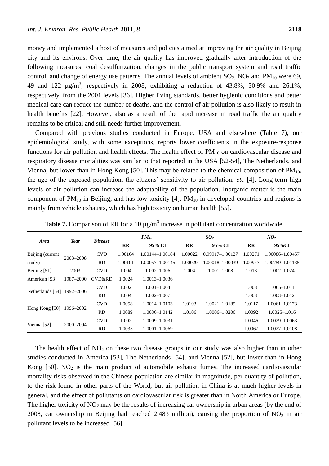money and implemented a host of measures and policies aimed at improving the air quality in Beijing city and its environs. Over time, the air quality has improved gradually after introduction of the following measures: coal desulfurization, changes in the public transport system and road traffic control, and change of energy use patterns. The annual levels of ambient  $SO_2$ ,  $NO_2$  and  $PM_{10}$  were 69, 49 and 122  $\mu$ g/m<sup>3</sup>, respectively in 2008; exhibiting a reduction of 43.8%, 30.9% and 26.1%, respectively, from the 2001 levels [36]. Higher living standards, better hygienic conditions and better medical care can reduce the number of deaths, and the control of air pollution is also likely to result in health benefits [22]. However, also as a result of the rapid increase in road traffic the air quality remains to be critical and still needs further improvement.

Compared with previous studies conducted in Europe, USA and elsewhere (Table 7), our epidemiological study, with some exceptions, reports lower coefficients in the exposure-response functions for air pollution and health effects. The health effect of  $PM_{10}$  on cardiovascular disease and respiratory disease mortalities was similar to that reported in the USA [52-54], The Netherlands, and Vienna, but lower than in Hong Kong [50]. This may be related to the chemical composition of  $PM_{10}$ , the age of the exposed population, the citizens' sensitivity to air pollution, *etc* [4]. Long-term high levels of air pollution can increase the adaptability of the population. Inorganic matter is the main component of  $PM_{10}$  in Beijing, and has low toxicity [4].  $PM_{10}$  in developed countries and regions is mainly from vehicle exhausts, which has high toxicity on human health [55].

|                  |           |                | $PM_{10}$ |                   |           | SO <sub>2</sub>     | NO <sub>2</sub> |                   |  |
|------------------|-----------|----------------|-----------|-------------------|-----------|---------------------|-----------------|-------------------|--|
| <b>Area</b>      | Year      | <b>Disease</b> | <b>RR</b> | 95% CI            | <b>RR</b> | 95% CI              | $_{\rm RR}$     | 95%CI             |  |
| Beijing (current |           | <b>CVD</b>     | 1.00164   | 1.00144-1.00184   | 1.00022   | $0.99917 - 1.00127$ | 1.00271         | 1.00086-1.00457   |  |
| study)           | 2003-2008 | <b>RD</b>      | 1.00101   | 1.00057-1.00145   | 1.00029   | 1.00018-1.00039     | 1.00947         | 1.00759-1.01135   |  |
| Beijing [51]     | 2003      | <b>CVD</b>     | 1.004     | $1.002 - 1.006$   | 1.004     | $1.001 - 1.008$     | 1.013           | $1.002 - 1.024$   |  |
| American [53]    | 1987-2000 | CVD&RD         | 1.0024    | 1.0013-1.0036     |           |                     |                 |                   |  |
| Netherlands [54] | 1992–2006 | <b>CVD</b>     | 1.002     | $1.001 - 1.004$   |           |                     | 1.008           | $1.005 - 1.011$   |  |
|                  |           | <b>RD</b>      | 1.004     | $1.002 - 1.007$   |           |                     | 1.008           | $1.003 - 1.012$   |  |
|                  |           | <b>CVD</b>     | 1.0058    | 1.0014-1.0103     | 1.0103    | 1.0021-1.0185       | 1.0117          | $1.0061 - 1.0173$ |  |
| Hong Kong [50]   | 1996–2002 | <b>RD</b>      | 1.0089    | 1.0036-1.0142     | 1.0106    | 1.0006-1.0206       | 1.0092          | $1.0025 - 1.016$  |  |
|                  | 2000-2004 | <b>CVD</b>     | 1.002     | 1.0009-1.0031     |           |                     | 1.0046          | 1.0029-1.0063     |  |
| Vienna [52]      |           | <b>RD</b>      | 1.0035    | $1.0001 - 1.0069$ |           |                     | 1.0067          | $1.0027 - 1.0108$ |  |

**Table 7.** Comparison of RR for a 10  $\mu$ g/m<sup>3</sup> increase in pollutant concentration worldwide.

The health effect of  $NO<sub>2</sub>$  on these two disease groups in our study was also higher than in other studies conducted in America [53], The Netherlands [54], and Vienna [52], but lower than in Hong Kong  $[50]$ . NO<sub>2</sub> is the main product of automobile exhaust fumes. The increased cardiovascular mortality risks observed in the Chinese population are similar in magnitude, per quantity of pollution, to the risk found in other parts of the World, but air pollution in China is at much higher levels in general, and the effect of pollutants on cardiovascular risk is greater than in North America or Europe. The higher toxicity of  $NO<sub>2</sub>$  may be the results of increasing car ownership in urban areas (by the end of 2008, car ownership in Beijing had reached 2.483 million), causing the proportion of  $NO<sub>2</sub>$  in air pollutant levels to be increased [56].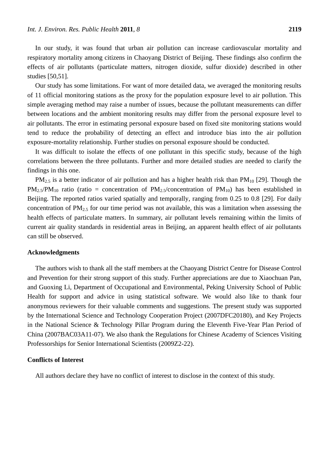In our study, it was found that urban air pollution can increase cardiovascular mortality and respiratory mortality among citizens in Chaoyang District of Beijing. These findings also confirm the effects of air pollutants (particulate matters, nitrogen dioxide, sulfur dioxide) described in other studies [50,51].

Our study has some limitations. For want of more detailed data, we averaged the monitoring results of 11 official monitoring stations as the proxy for the population exposure level to air pollution. This simple averaging method may raise a number of issues, because the pollutant measurements can differ between locations and the ambient monitoring results may differ from the personal exposure level to air pollutants. The error in estimating personal exposure based on fixed site monitoring stations would tend to reduce the probability of detecting an effect and introduce bias into the air pollution exposure-mortality relationship. Further studies on personal exposure should be conducted.

It was difficult to isolate the effects of one pollutant in this specific study, because of the high correlations between the three pollutants. Further and more detailed studies are needed to clarify the findings in this one.

 $PM_{2.5}$  is a better indicator of air pollution and has a higher health risk than  $PM_{10}$  [29]. Though the  $PM_{2.5}/PM_{10}$  ratio (ratio = concentration of  $PM_{2.5}/\text{concentration}$  of  $PM_{10}$ ) has been established in Beijing. The reported ratios varied spatially and temporally, ranging from 0.25 to 0.8 [29]. For daily concentration of  $PM_{2.5}$  for our time period was not available, this was a limitation when assessing the health effects of particulate matters. In summary, air pollutant levels remaining within the limits of current air quality standards in residential areas in Beijing, an apparent health effect of air pollutants can still be observed.

#### **Acknowledgments**

The authors wish to thank all the staff members at the Chaoyang District Centre for Disease Control and Prevention for their strong support of this study. Further appreciations are due to Xiaochuan Pan, and Guoxing Li, Department of Occupational and Environmental, Peking University School of Public Health for support and advice in using statistical software. We would also like to thank four anonymous reviewers for their valuable comments and suggestions. The present study was supported by the International Science and Technology Cooperation Project (2007DFC20180), and Key Projects in the National Science & Technology Pillar Program during the Eleventh Five-Year Plan Period of China (2007BAC03A11-07). We also thank the Regulations for Chinese Academy of Sciences Visiting Professorships for Senior International Scientists (2009Z2-22).

## **Conflicts of Interest**

All authors declare they have no conflict of interest to disclose in the context of this study.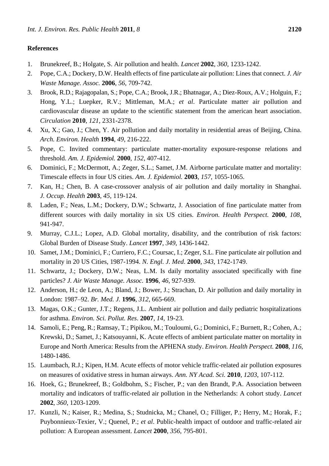## **References**

- 1. Brunekreef, B.; Holgate, S. Air pollution and health. *Lancet* **2002**, *360*, 1233-1242.
- 2. Pope, C.A.; Dockery, D.W. Health effects of fine particulate air pollution: Lines that connect. *J. Air Waste Manage. Assoc.* **2006**, *56*, 709-742.
- 3. Brook, R.D.; Rajagopalan, S.; Pope, C.A.; Brook, J.R.; Bhatnagar, A.; Diez-Roux, A.V.; Holguin, F.; Hong, Y.L.; Luepker, R.V.; Mittleman, M.A.; *et al*. Particulate matter air pollution and cardiovascular disease an update to the scientific statement from the american heart association. *Circulation* **2010**, *121*, 2331-2378.
- 4. Xu, X.; Gao, J.; Chen, Y. Air pollution and daily mortality in residential areas of Beijing, China. *Arch. Environ. Health* **1994**, *49*, 216-222.
- 5. Pope, C. Invited commentary: particulate matter-mortality exposure-response relations and threshold. *Am. J. Epidemiol.* **2000**, *152*, 407-412.
- 6. Dominici, F.; McDermott, A.; Zeger, S.L.; Samet, J.M. Airborne particulate matter and mortality: Timescale effects in four US cities. *Am. J. Epidemiol.* **2003**, *157*, 1055-1065.
- 7. Kan, H.; Chen, B. A case-crossover analysis of air pollution and daily mortality in Shanghai. *J. Occup. Health* **2003**, *45*, 119-124.
- 8. Laden, F.; Neas, L.M.; Dockery, D.W.; Schwartz, J. Association of fine particulate matter from different sources with daily mortality in six US cities. *Environ. Health Perspect.* **2000**, *108*, 941-947.
- 9. Murray, C.J.L.; Lopez, A.D. Global mortality, disability, and the contribution of risk factors: Global Burden of Disease Study. *Lancet* **1997**, *349*, 1436-1442.
- 10. Samet, J.M.; Dominici, F.; Curriero, F.C.; Coursac, I.; Zeger, S.L. Fine particulate air pollution and mortality in 20 US Cities, 1987-1994. *N. Engl. J. Med*. **2000**, *343*, 1742-1749.
- 11. Schwartz, J.; Dockery, D.W.; Neas, L.M. Is daily mortality associated specifically with fine particles? *J. Air Waste Manage. Assoc.* **1996**, *46*, 927-939.
- 12. Anderson, H.; de Leon, A.; Bland, J.; Bower, J.; Strachan, D. Air pollution and daily mortality in London: 1987–92. *Br. Med. J.* **1996**, *312*, 665-669.
- 13. Magas, O.K.; Gunter, J.T.; Regens, J.L. Ambient air pollution and daily pediatric hospitalizations for asthma. *Environ. Sci. Pollut. Res*. **2007**, *14*, 19-23.
- 14. Samoli, E.; Peng, R.; Ramsay, T.; Pipikou, M.; Touloumi, G.; Dominici, F.; Burnett, R.; Cohen, A.; Krewski, D.; Samet, J.; Katsouyanni, K. Acute effects of ambient particulate matter on mortality in Europe and North America: Results from the APHENA study. *Environ. Health Perspect.* **2008**, *116*, 1480-1486.
- 15. Laumbach, R.J.; Kipen, H.M. Acute effects of motor vehicle traffic-related air pollution exposures on measures of oxidative stress in human airways. *Ann. NY Acad. Sci.* **2010**, *1203*, 107-112.
- 16. Hoek, G.; Brunekreef, B.; Goldbohm, S.; Fischer, P.; van den Brandt, P.A. Association between mortality and indicators of traffic-related air pollution in the Netherlands: A cohort study. *Lancet*  **2002**, *360*, 1203-1209.
- 17. Kunzli, N.; Kaiser, R.; Medina, S.; Studnicka, M.; Chanel, O.; Filliger, P.; Herry, M.; Horak, F.; Puybonnieux-Texier, V.; Quenel, P.; *et al*. Public-health impact of outdoor and traffic-related air pollution: A European assessment. *Lancet* **2000**, *356*, 795-801.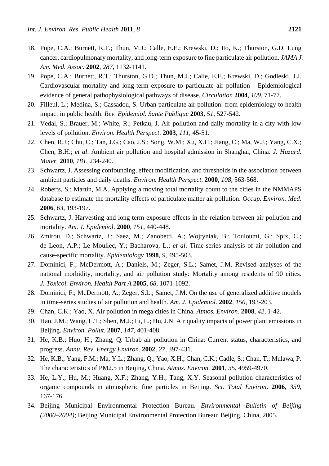- 18. Pope, C.A.; Burnett, R.T.; Thun, M.J.; Calle, E.E.; Krewski, D.; Ito, K.; Thurston, G.D. Lung cancer, cardiopulmonary mortality, and long-term exposure to fine particulate air pollution. *JAMA J. Am. Med. Assoc.* **2002**, *287*, 1132-1141.
- 19. Pope, C.A.; Burnett, R.T.; Thurston, G.D.; Thun, M.J.; Calle, E.E.; Krewski, D.; Godleski, J.J. Cardiovascular mortality and long-term exposure to particulate air pollution - Epidemiological evidence of general pathophysiological pathways of disease. *Circulation* **2004**, *109*, 71-77.
- 20. Filleul, L.; Medina, S.; Cassadou, S. Urban particulate air pollution: from epidemiology to health impact in public health. *Rev. Epidemiol. Sante Publique* **2003**, *51*, 527-542.
- 21. Vedal, S.; Brauer, M.; White, R.; Petkau, J. Air pollution and daily mortality in a city with low levels of pollution. *Environ. Health Perspect*. **2003**, *111*, 45-51.
- 22. Chen, R.J.; Chu, C.; Tan, J.G.; Cao, J.S.; Song, W.M.; Xu, X.H.; Jiang, C.; Ma, W.J.; Yang, C.X.; Chen, B.H.; *et al*. Ambient air pollution and hospital admission in Shanghai, China. *J. Hazard. Mater.* **2010**, *181*, 234-240.
- 23. Schwartz, J. Assessing confounding, effect modification, and thresholds in the association between ambient particles and daily deaths. *Environ. Health Perspect*. **2000**, *108*, 563-568.
- 24. Roberts, S.; Martin, M.A. Applying a moving total mortality count to the cities in the NMMAPS database to estimate the mortality effects of particulate matter air pollution. *Occup. Environ. Med*. **2006**, *63*, 193-197.
- 25. Schwartz, J. Harvesting and long term exposure effects in the relation between air pollution and mortality. *Am. J. Epidemiol*. **2000**, *151*, 440-448.
- 26. Zmirou, D.; Schwartz, J.; Saez, M.; Zanobetti, A.; Wojtyniak, B.; Touloumi, G.; Spix, C.; de Leon, A.P.; Le Moullec, Y.; Bacharova, L.; *et al*. Time-series analysis of air pollution and cause-specific mortality. *Epidemiology* **1998**, *9*, 495-503.
- 27. Dominici, F.; McDermott, A.; Daniels, M.; Zeger, S.L.; Samet, J.M. Revised analyses of the national morbidity, mortality, and air pollution study: Mortality among residents of 90 cities. *J. Toxicol. Environ. Health Part A* **2005**, *68*, 1071-1092.
- 28. Dominici, F.; McDermott, A.; Zeger, S.L.; Samet, J.M. On the use of generalized additive models in time-series studies of air pollution and health. *Am. J. Epidemiol*. **2002**, *156*, 193-203.
- 29. Chan, C.K.; Yao, X. Air pollution in mega cities in China. *Atmos. Environ.* **2008**, *42*, 1-42.
- 30. Hao, J.M.; Wang, L.T.; Shen, M.J.; Li, L.; Hu, J.N. Air quality impacts of power plant emissions in Beijing. *Environ. Pollut.* **2007**, *147*, 401-408.
- 31. He, K.B.; Huo, H.; Zhang, Q. Urbab air pollution in China: Current status, characteristics, and progress. *Annu. Rev. Energy Environ.* **2002**, *27*, 397-431.
- 32. He, K.B.; Yang, F.M.; Ma, Y.L.; Zhang, Q.; Yao, X.H.; Chan, C.K.; Cadle, S.; Chan, T.; Mulawa, P. The characteristics of PM2.5 in Beijing, China. *Atmos. Environ.* **2001**, *35*, 4959-4970.
- 33. He, L.Y.; Hu, M.; Huang, X.F.; Zhang, Y.H.; Tang, X.Y. Seasonal pollution characteristics of organic compounds in atmospheric fine particles in Beijing. *Sci. Total Environ*. **2006**, *359*, 167-176.
- 34. Beijing Municipal Environmental Protection Bureau. *Environmental Bulletin of Beijing (2000–2004)*; Beijing Municipal Environmental Protection Bureau: Beijing, China, 2005.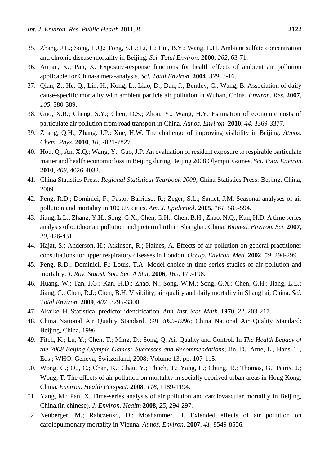- 35. Zhang, J.L.; Song, H.Q.; Tong, S.L.; Li, L.; Liu, B.Y.; Wang, L.H. Ambient sulfate concentration and chronic disease mortality in Beijing. *Sci. Total Environ*. **2000**, *262*, 63-71.
- 36. Aunan, K.; Pan, X. Exposure-response functions for health effects of ambient air pollution applicable for China-a meta-analysis. *Sci. Total Environ*. **2004**, *329*, 3-16.
- 37. Qian, Z.; He, Q.; Lin, H.; Kong, L.; Liao, D.; Dan, J.; Bentley, C.; Wang, B. Association of daily cause-specific mortality with ambient particle air pollution in Wuhan, China. *Environ. Res.* **2007**, *105*, 380-389.
- 38. Guo, X.R.; Cheng, S.Y.; Chen, D.S.; Zhou, Y.; Wang, H.Y. Estimation of economic costs of particulate air pollution from road transport in China. *Atmos. Environ.* **2010**, *44*, 3369-3377.
- 39. Zhang, Q.H.; Zhang, J.P.; Xue, H.W. The challenge of improving visibility in Beijing. *Atmos. Chem. Phys.* **2010**, *10*, 7821-7827.
- 40. Hou, Q.; An, X.Q.; Wang, Y.; Guo, J.P. An evaluation of resident exposure to respirable particulate matter and health economic loss in Beijing during Beijing 2008 Olympic Games. *Sci. Total Environ.* **2010**, *408*, 4026-4032.
- 41. China Statistics Press. *Regional Statistical Yearbook 2009*; China Statistics Press: Beijing, China, 2009.
- 42. Peng, R.D.; Dominici, F.; Pastor-Barriuso, R.; Zeger, S.L.; Samet, J.M. Seasonal analyses of air pollution and mortality in 100 US cities. *Am. J. Epidemiol*. **2005**, *161*, 585-594.
- 43. Jiang, L.L.; Zhang, Y.H.; Song, G.X.; Chen, G.H.; Chen, B.H.; Zhao, N.Q.; Kan, H.D. A time series analysis of outdoor air pollution and preterm birth in Shanghai, China. *Biomed. Environ. Sci.* **2007**, *20*, 426-431.
- 44. Hajat, S.; Anderson, H.; Atkinson, R.; Haines, A. Effects of air pollution on general practitioner consultations for upper respiratory diseases in London. *Occup. Environ. Med.* **2002**, *59*, 294-299.
- 45. Peng, R.D.; Dominici, F.; Louis, T.A. Model choice in time series studies of air pollution and mortality. *J. Roy. Statist. Soc. Ser. A Stat.* **2006**, *169*, 179-198.
- 46. Huang, W.; Tan, J.G.; Kan, H.D.; Zhao, N.; Song, W.M.; Song, G.X.; Chen, G.H.; Jiang, L.L.; Jiang, C.; Chen, R.J.; Chen, B.H. Visibility, air quality and daily mortality in Shanghai, China. *Sci. Total Environ.* **2009**, *407*, 3295-3300.
- 47. Akaike, H. Statistical predictor identification. *Ann. Inst. Stat. Math.* **1970**, *22*, 203-217.
- 48. China National Air Quality Standard. *GB 3095-1996*; China National Air Quality Standard: Beijing, China, 1996.
- 49. Fitch, K.; Lu, Y.; Chen, T.; Ming, D.; Song, Q. Air Quality and Control. In *The Health Legacy of the 2008 Beijing Olympic Games: Successes and Recommendations*; Jin, D., Arne, L., Hans, T., Eds.; WHO: Geneva, Switzerland, 2008; Volume 13, pp. 107-115.
- 50. Wong, C.; Ou, C.; Chan, K.; Chau, Y.; Thach, T.; Yang, L.; Chung, R.; Thomas, G.; Peiris, J.; Wong, T. The effects of air pollution on mortality in socially deprived urban areas in Hong Kong, China. *Environ. Health Perspect*. **2008**, *116*, 1189-1194.
- 51. Yang, M.; Pan, X. Time-series analysis of air pollution and cardiovascular mortality in Beijing, China.(in chinese). *J. Environ. Health* **2008**, *25*, 294-297.
- 52. Neuberger, M.; Rabczenko, D.; Moshammer, H. Extended effects of air pollution on cardiopulmonary mortality in Vienna. *Atmos. Environ.* **2007**, *41*, 8549-8556.